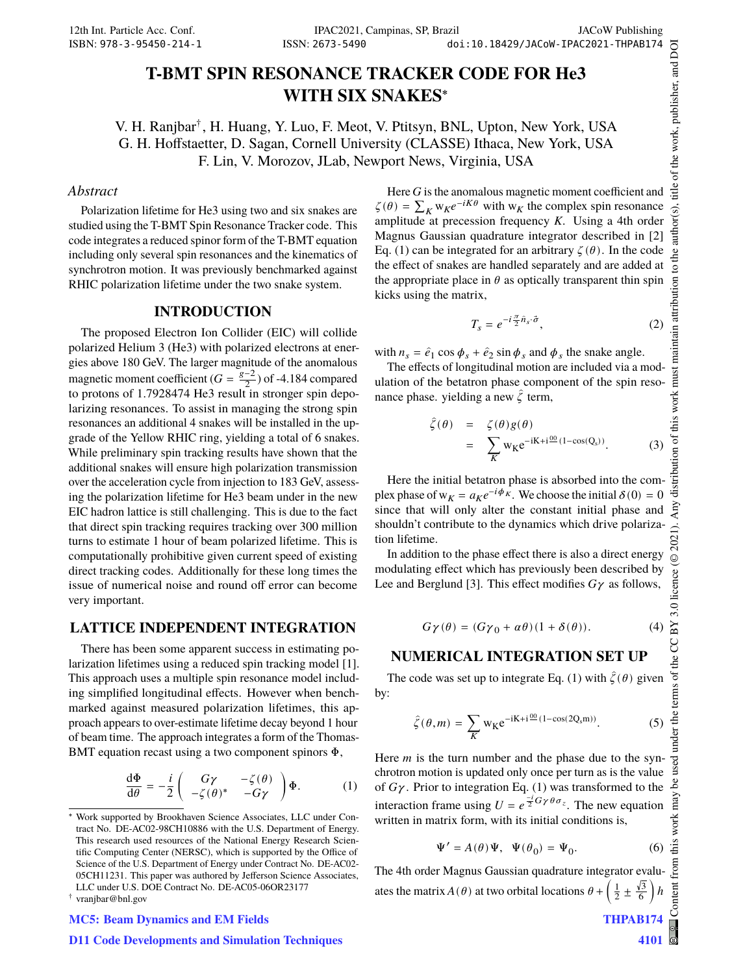# **T-BMT SPIN RESONANCE TRACKER CODE FOR He3 WITH SIX SNAKES**<sup>∗</sup>

V. H. Ranjbar† , H. Huang, Y. Luo, F. Meot, V. Ptitsyn, BNL, Upton, New York, USA G. H. Hoffstaetter, D. Sagan, Cornell University (CLASSE) Ithaca, New York, USA F. Lin, V. Morozov, JLab, Newport News, Virginia, USA

#### *Abstract*

Polarization lifetime for He3 using two and six snakes are studied using the T-BMT Spin Resonance Tracker code. This code integrates a reduced spinor form of the T-BMT equation including only several spin resonances and the kinematics of synchrotron motion. It was previously benchmarked against RHIC polarization lifetime under the two snake system.

#### **INTRODUCTION**

The proposed Electron Ion Collider (EIC) will collide polarized Helium 3 (He3) with polarized electrons at energies above 180 GeV. The larger magnitude of the anomalous magnetic moment coefficient  $(G = \frac{g-2}{2})$  of -4.184 compared to protons of  $1.7928474$  He3 result in stronger spin depolarizing resonances. To assist in managing the strong spin resonances an additional 4 snakes will be installed in the upgrade of the Yellow RHIC ring, yielding a total of 6 snakes. While preliminary spin tracking results have shown that the additional snakes will ensure high polarization transmission over the acceleration cycle from injection to 183 GeV, assessing the polarization lifetime for He3 beam under in the new EIC hadron lattice is still challenging. This is due to the fact that direct spin tracking requires tracking over 300 million turns to estimate 1 hour of beam polarized lifetime. This is computationally prohibitive given current speed of existing direct tracking codes. Additionally for these long times the issue of numerical noise and round off error can become very important.

### **LATTICE INDEPENDENT INTEGRATION**

There has been some apparent success in estimating polarization lifetimes using a reduced spin tracking model [1]. This approach uses a multiple spin resonance model including simplified longitudinal effects. However when benchmarked against measured polarization lifetimes, this approach appears to over-estimate lifetime decay beyond 1 hour of beam time. The approach integrates a form of the Thomas-BMT equation recast using a two component spinors Φ,

$$
\frac{\mathrm{d}\Phi}{\mathrm{d}\theta} = -\frac{i}{2} \begin{pmatrix} G\gamma & -\zeta(\theta) \\ -\zeta(\theta)^* & -G\gamma \end{pmatrix} \Phi.
$$
 (1)

#### MC5: Beam Dynamics and EM Fields

Here  $G$  is the anomalous magnetic moment coefficient and  $\zeta(\theta) = \sum_K w_K e^{-iK\theta}$  with  $w_K$  the complex spin resonance amplitude at precession frequency  $K$ . Using a 4th order Magnus Gaussian quadrature integrator described in [2] Eq. (1) can be integrated for an arbitrary  $\zeta(\theta)$ . In the code the effect of snakes are handled separately and are added at the appropriate place in  $\theta$  as optically transparent thin spin kicks using the matrix,

$$
T_s = e^{-i\frac{\pi}{2}\hat{n}_s \cdot \vec{\sigma}},\tag{2}
$$

with  $n_s = \hat{e}_1 \cos \phi_s + \hat{e}_2 \sin \phi_s$  and  $\phi_s$  the snake angle.

The effects of longitudinal motion are included via a modulation of the betatron phase component of the spin resonance phase. yielding a new  $\hat{\zeta}$  term,

$$
\hat{\zeta}(\theta) = \zeta(\theta)g(\theta)
$$
  
= 
$$
\sum_{K} w_K e^{-iK+i\frac{00}{2}(1-\cos(Q_s))}.
$$
 (3)

Here the initial betatron phase is absorbed into the complex phase of  $w_K = a_K e^{-i\phi_K}$ . We choose the initial  $\delta(0) = 0$ since that will only alter the constant initial phase and shouldn't contribute to the dynamics which drive polarization lifetime.

In addition to the phase effect there is also a direct energy modulating effect which has previously been described by Lee and Berglund [3]. This effect modifies  $G\gamma$  as follows,

$$
G\gamma(\theta) = (G\gamma_0 + \alpha\theta)(1 + \delta(\theta)).
$$
 (4)

#### **NUMERICAL INTEGRATION SET UP**

The code was set up to integrate Eq. (1) with  $\hat{\zeta}(\theta)$  given by:

$$
\hat{\zeta}(\theta, m) = \sum_{K} w_K e^{-iK + i\frac{00}{\pi} (1 - \cos(2Q_s m))}.
$$
 (5)

Here  $m$  is the turn number and the phase due to the synchrotron motion is updated only once per turn as is the value of  $G\gamma$ . Prior to integration Eq. (1) was transformed to the interaction frame using  $U = e^{\frac{-i}{2}G\gamma \theta \sigma_z}$ . The new equation written in matrix form, with its initial conditions is,

$$
\Psi' = A(\theta)\Psi, \quad \Psi(\theta_0) = \Psi_0.
$$
 (6)

The 4th order Magnus Gaussian quadrature integrator evaluates the matrix  $A(\theta)$  at two orbital locations  $\theta + \left(\frac{1}{2} \pm \frac{\sqrt{3}}{6}\right)$  $\left(\frac{13}{6}\right)h$ 

4101

### D11 Code Developments and Simulation Techniques

<sup>∗</sup> Work supported by Brookhaven Science Associates, LLC under Contract No. DE-AC02-98CH10886 with the U.S. Department of Energy. This research used resources of the National Energy Research Scientific Computing Center (NERSC), which is supported by the Office of Science of the U.S. Department of Energy under Contract No. DE-AC02- 05CH11231. This paper was authored by Jefferson Science Associates, LLC under U.S. DOE Contract No. DE-AC05-06OR23177

<sup>†</sup> vranjbar@bnl.gov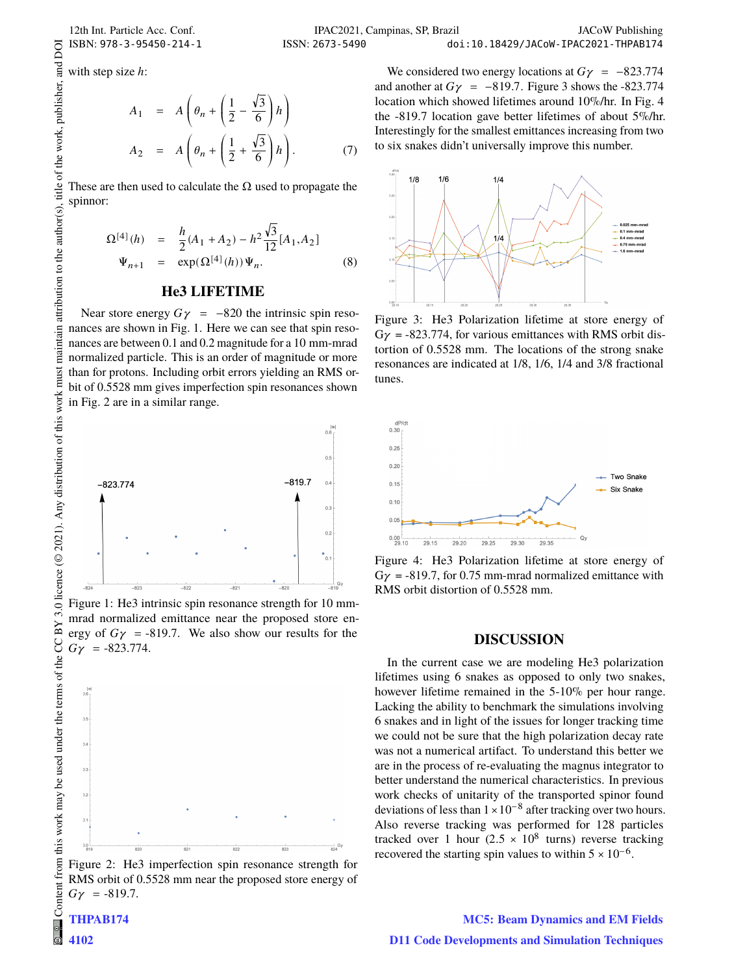with step size  $h$ :

$$
A_1 = A\left(\theta_n + \left(\frac{1}{2} - \frac{\sqrt{3}}{6}\right)h\right)
$$
  

$$
A_2 = A\left(\theta_n + \left(\frac{1}{2} + \frac{\sqrt{3}}{6}\right)h\right).
$$
 (7)

These are then used to calculate the  $\Omega$  used to propagate the spinnor:

$$
\Omega^{[4]}(h) = \frac{h}{2}(A_1 + A_2) - h^2 \frac{\sqrt{3}}{12} [A_1, A_2]
$$
  

$$
\Psi_{n+1} = \exp(\Omega^{[4]}(h)) \Psi_n.
$$
 (8)

#### **He3 LIFETIME**

Near store energy  $G\gamma$  = −820 the intrinsic spin resonances are shown in Fig. 1. Here we can see that spin resonances are between 0.1 and 0.2 magnitude for a 10 mm-mrad normalized particle. This is an order of magnitude or more than for protons. Including orbit errors yielding an RMS orbit of 0.5528 mm gives imperfection spin resonances shown in Fig. 2 are in a similar range.



Figure 1: He3 intrinsic spin resonance strength for 10 mmmrad normalized emittance near the proposed store energy of  $G\gamma$  = -819.7. We also show our results for the  $G\gamma = -823.774.$ 



Figure 2: He3 imperfection spin resonance strength for RMS orbit of 0.5528 mm near the proposed store energy of  $G\gamma = -819.7.$ 

We considered two energy locations at  $G\gamma = -823.774$ and another at  $G\gamma = -819.7$ . Figure 3 shows the -823.774 location which showed lifetimes around 10%/hr. In Fig. 4 the -819.7 location gave better lifetimes of about 5%/hr. Interestingly for the smallest emittances increasing from two to six snakes didn't universally improve this number.



Figure 3: He3 Polarization lifetime at store energy of  $G\gamma$  = -823.774, for various emittances with RMS orbit distortion of 0.5528 mm. The locations of the strong snake resonances are indicated at 1/8, 1/6, 1/4 and 3/8 fractional tunes.



Figure 4: He3 Polarization lifetime at store energy of  $G\gamma$  = -819.7, for 0.75 mm-mrad normalized emittance with RMS orbit distortion of 0.5528 mm.

#### **DISCUSSION**

In the current case we are modeling He3 polarization lifetimes using 6 snakes as opposed to only two snakes, however lifetime remained in the 5-10% per hour range. Lacking the ability to benchmark the simulations involving 6 snakes and in light of the issues for longer tracking time we could not be sure that the high polarization decay rate was not a numerical artifact. To understand this better we are in the process of re-evaluating the magnus integrator to better understand the numerical characteristics. In previous work checks of unitarity of the transported spinor found deviations of less than  $1 \times 10^{-8}$  after tracking over two hours. Also reverse tracking was performed for 128 particles tracked over 1 hour  $(2.5 \times 10^8 \text{ turns})$  reverse tracking recovered the starting spin values to within  $5 \times 10^{-6}$ .

MC5: Beam Dynamics and EM Fields D11 Code Developments and Simulation Techniques